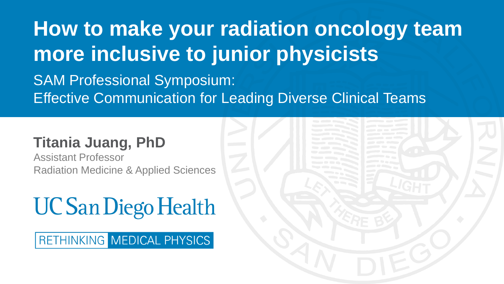**How to make your radiation oncology team more inclusive to junior physicists** SAM Professional Symposium: Effective Communication for Leading Diverse Clinical Teams

### **Titania Juang, PhD**

Assistant Professor Radiation Medicine & Applied Sciences

## **UC San Diego Health**

RETHINKING MEDICAL PHYSICS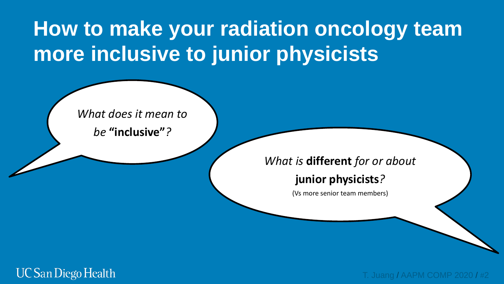*What does it mean to* 

*be* **"inclusive"***?*

### *What is* **different** *for or about*

### **junior physicists***?*

(Vs more senior team members)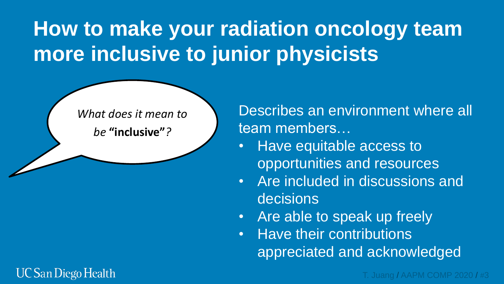*What does it mean to* 

*be* **"inclusive"***?*

Describes an environment where all team members…

- Have equitable access to opportunities and resources
- Are included in discussions and decisions
- Are able to speak up freely
- Have their contributions appreciated and acknowledged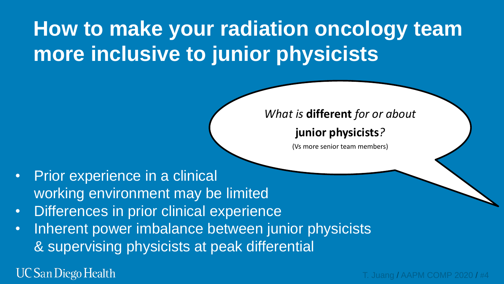### *What is* **different** *for or about*

### **junior physicists***?*

(Vs more senior team members)

- Prior experience in a clinical working environment may be limited
- Differences in prior clinical experience
- Inherent power imbalance between junior physicists & supervising physicists at peak differential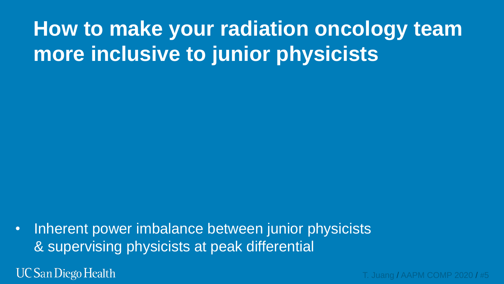• Inherent power imbalance between junior physicists & supervising physicists at peak differential

**UC San Diego Health**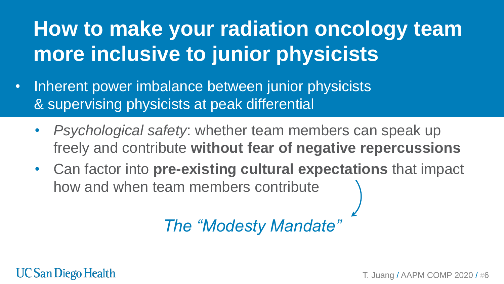- Inherent power imbalance between junior physicists & supervising physicists at peak differential
	- *Psychological safety*: whether team members can speak up freely and contribute **without fear of negative repercussions**
	- Can factor into **pre-existing cultural expectations** that impact how and when team members contribute

*The "Modesty Mandate"*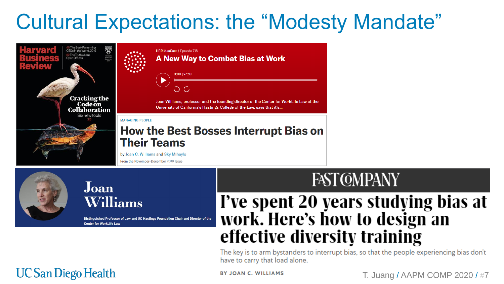## **Cultural Expectations: the "Modesty Mandate"**



### Joan Williams

Distinguished Professor of Law and UC Hastings Foundation Chair and Director of the **Center for WorkLife Law** 

## **FAST COMPANY**

### I've spent 20 years studying bias at work. Here's how to design an effective diversity training

The key is to arm bystanders to interrupt bias, so that the people experiencing bias don't have to carry that load alone.

### **UC San Diego Health**

#### **BY JOAN C. WILLIAMS**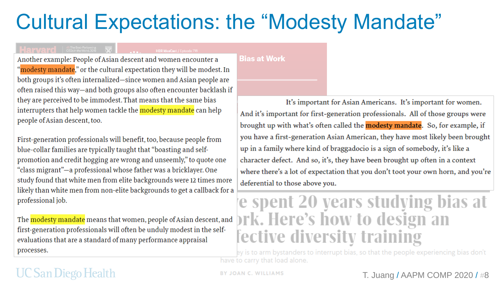## **Cultural Expectations: the "Modesty Mandate"**

#### **Bias at Work**

Another example: People of Asian descent and women encounter a "modesty mandate," or the cultural expectation they will be modest. In both groups it's often internalized-since women and Asian people are often raised this way—and both groups also often encounter backlash if they are perceived to be immodest. That means that the same bias interrupters that help women tackle the modesty mandate can help people of Asian descent, too.

First-generation professionals will benefit, too, because people from blue-collar families are typically taught that "boasting and selfpromotion and credit hogging are wrong and unseemly," to quote one "class migrant"—a professional whose father was a bricklayer. One study found that white men from elite backgrounds were 12 times more likely than white men from non-elite backgrounds to get a callback for a professional job.

The modesty mandate means that women, people of Asian descent, and first-generation professionals will often be unduly modest in the selfevaluations that are a standard of many performance appraisal processes.

### It's important for Asian Americans. It's important for women. And it's important for first-generation professionals. All of those groups were brought up with what's often called the **modesty mandate**. So, for example, if you have a first-generation Asian American, they have most likely been brought up in a family where kind of braggadocio is a sign of somebody, it's like a character defect. And so, it's, they have been brought up often in a context where there's a lot of expectation that you don't toot your own horn, and you're deferential to those above you.

## e spent 20 years studying bias at ork. Here's how to design an fective diversity training

ey is to arm bystanders to interrupt bias, so that the people experiencing bias don't have to carry that load alone.

### UC San Diego Health

 $\left|\mathbf{H}\right|$  a  $\mathbf{M}$   $\mathbf{M}$   $\mathbf{M}$   $\left| \begin{array}{ccc} \frac{45}{2}$  The Best-Performing  $\left| \begin{array}{cc} \frac{1}{2} & \frac{1}{2} \\ \frac{1}{2} & \frac{1}{2} \end{array} \right|$ 

**BY JOAN C. WILLIAMS**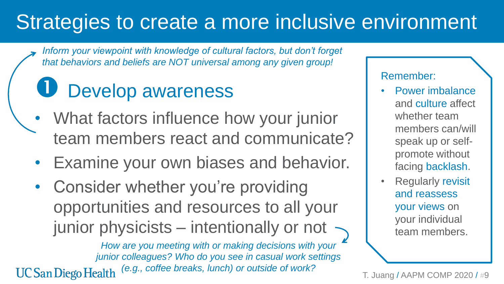*Inform your viewpoint with knowledge of cultural factors, but don't forget that behaviors and beliefs are NOT universal among any given group!*

# Develop awareness

- What factors influence how your junior team members react and communicate?
- Examine your own biases and behavior.
- Consider whether you're providing opportunities and resources to all your junior physicists – intentionally or not  $\rightarrow$

*How are you meeting with or making decisions with your junior colleagues? Who do you see in casual work settings (e.g., coffee breaks, lunch) or outside of work?***UC San Diego Health** 

### Remember:

- Power imbalance and culture affect whether team members can/will speak up or selfpromote without facing backlash.
- **Regularly revisit** and reassess your views on your individual team members.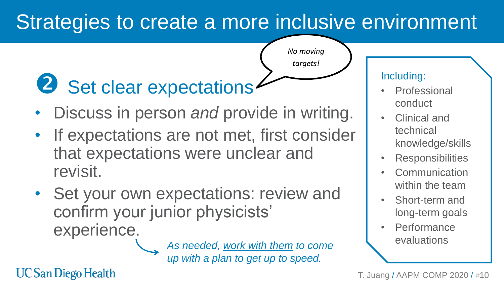*No moving* 

*targets!*

# 2 Set clear expectations

- Discuss in person *and* provide in writing.
- If expectations are not met, first consider that expectations were unclear and revisit.
- Set your own expectations: review and confirm your junior physicists' experience.

As needed, work with them to come **and the evaluations** *up with a plan to get up to speed.*

### Including:

- **Professional** conduct
- Clinical and technical knowledge/skills
- **Responsibilities**
- **Communication** within the team
- Short-term and long-term goals
- **Performance**

T. Juang / AAPM COMP 2020 / #10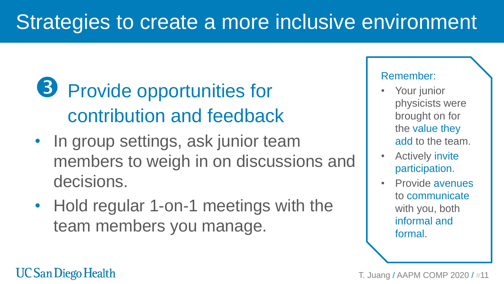## **B** Provide opportunities for contribution and feedback

- In group settings, ask junior team members to weigh in on discussions and decisions.
- Hold regular 1-on-1 meetings with the team members you manage.

### Remember:

- Your junior physicists were brought on for the value they add to the team.
- **Actively invite** participation.
- Provide avenues to communicate with you, both informal and formal.

T. Juang / AAPM COMP 2020 / #11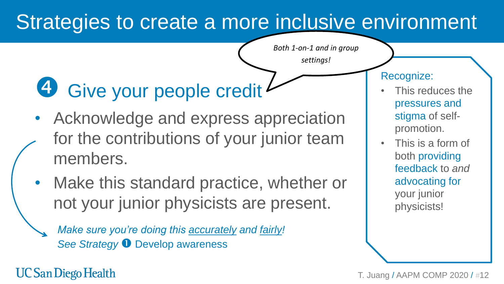*Both 1-on-1 and in group* 

*settings!*

# 4 Give your people credit

- Acknowledge and express appreciation for the contributions of your junior team members.
- Make this standard practice, whether or not your junior physicists are present.
	- *Make sure you're doing this accurately and fairly!*  **See Strategy**  $\bullet$  **Develop awareness**

### Recognize:

- This reduces the pressures and stigma of selfpromotion.
- This is a form of both providing feedback to *and* advocating for your junior physicists!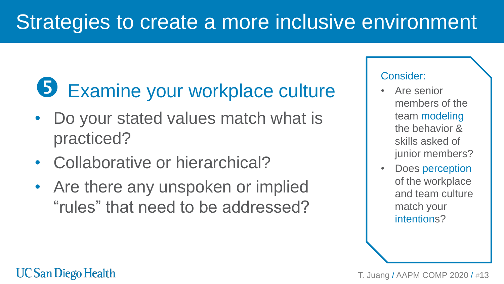# Examine your workplace culture

- Do your stated values match what is practiced?
- Collaborative or hierarchical?
- Are there any unspoken or implied "rules" that need to be addressed?

### Consider:

- Are senior members of the team modeling the behavior & skills asked of junior members?
- Does perception of the workplace and team culture match your intentions?

#### T. Juang / AAPM COMP 2020 / #13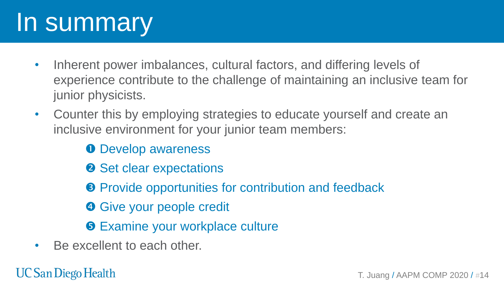# In summary

- Inherent power imbalances, cultural factors, and differing levels of experience contribute to the challenge of maintaining an inclusive team for junior physicists.
- Counter this by employing strategies to educate yourself and create an inclusive environment for your junior team members:

**O** Develop awareness

- **2** Set clear expectations
- **8** Provide opportunities for contribution and feedback
- **G** Give your people credit
- **6 Examine your workplace culture**
- Be excellent to each other.